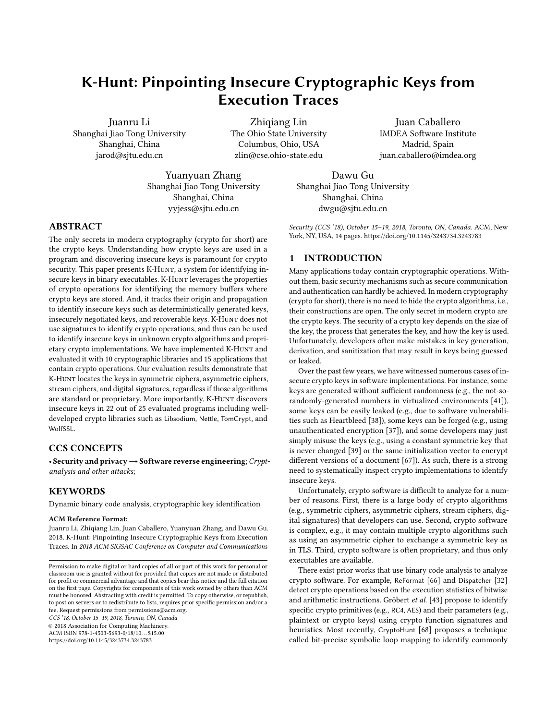# K-Hunt: Pinpointing Insecure Cryptographic Keys from Execution Traces

Juanru Li Shanghai Jiao Tong University Shanghai, China jarod@sjtu.edu.cn

Zhiqiang Lin The Ohio State University Columbus, Ohio, USA zlin@cse.ohio-state.edu

Yuanyuan Zhang Shanghai Jiao Tong University Shanghai, China yyjess@sjtu.edu.cn

Dawu Gu Shanghai Jiao Tong University Shanghai, China dwgu@sjtu.edu.cn

Security (CCS '18), October 15–19, 2018, Toronto, ON, Canada. ACM, New York, NY, USA, [14](#page-13-0) pages.<https://doi.org/10.1145/3243734.3243783>

Juan Caballero IMDEA Software Institute Madrid, Spain juan.caballero@imdea.org

# 1 INTRODUCTION

Many applications today contain cryptographic operations. Without them, basic security mechanisms such as secure communication and authentication can hardly be achieved. In modern cryptography (crypto for short), there is no need to hide the crypto algorithms, i.e., their constructions are open. The only secret in modern crypto are the crypto keys. The security of a crypto key depends on the size of the key, the process that generates the key, and how the key is used. Unfortunately, developers often make mistakes in key generation, derivation, and sanitization that may result in keys being guessed or leaked.

Over the past few years, we have witnessed numerous cases of insecure crypto keys in software implementations. For instance, some keys are generated without sufficient randomness (e.g., the not-sorandomly-generated numbers in virtualized environments [\[41\]](#page-12-0)), some keys can be easily leaked (e.g., due to software vulnerabilities such as Heartbleed [\[38\]](#page-12-1)), some keys can be forged (e.g., using unauthenticated encryption [\[37\]](#page-12-2)), and some developers may just simply misuse the keys (e.g., using a constant symmetric key that is never changed [\[39\]](#page-12-3) or the same initialization vector to encrypt different versions of a document [\[67\]](#page-13-1)). As such, there is a strong need to systematically inspect crypto implementations to identify insecure keys.

Unfortunately, crypto software is difficult to analyze for a number of reasons. First, there is a large body of crypto algorithms (e.g., symmetric ciphers, asymmetric ciphers, stream ciphers, digital signatures) that developers can use. Second, crypto software is complex, e.g., it may contain multiple crypto algorithms such as using an asymmetric cipher to exchange a symmetric key as in TLS. Third, crypto software is often proprietary, and thus only executables are available.

There exist prior works that use binary code analysis to analyze crypto software. For example, ReFormat [\[66\]](#page-13-2) and Dispatcher [\[32\]](#page-12-4) detect crypto operations based on the execution statistics of bitwise and arithmetic instructions. Gröbert et al. [\[43\]](#page-12-5) propose to identify specific crypto primitives (e.g., RC4, AES) and their parameters (e.g., plaintext or crypto keys) using crypto function signatures and heuristics. Most recently, CryptoHunt [\[68\]](#page-13-3) proposes a technique called bit-precise symbolic loop mapping to identify commonly

#### ABSTRACT

The only secrets in modern cryptography (crypto for short) are the crypto keys. Understanding how crypto keys are used in a program and discovering insecure keys is paramount for crypto security. This paper presents K-HUNT, a system for identifying insecure keys in binary executables. K-HUNT leverages the properties of crypto operations for identifying the memory buffers where crypto keys are stored. And, it tracks their origin and propagation to identify insecure keys such as deterministically generated keys, insecurely negotiated keys, and recoverable keys. K-HUNT does not use signatures to identify crypto operations, and thus can be used to identify insecure keys in unknown crypto algorithms and proprietary crypto implementations. We have implemented K-HUNT and evaluated it with 10 cryptographic libraries and 15 applications that contain crypto operations. Our evaluation results demonstrate that K-Hunt locates the keys in symmetric ciphers, asymmetric ciphers, stream ciphers, and digital signatures, regardless if those algorithms are standard or proprietary. More importantly, K-HUNT discovers insecure keys in 22 out of 25 evaluated programs including welldeveloped crypto libraries such as Libsodium, Nettle, TomCrypt, and WolfSSL.

# CCS CONCEPTS

• Security and privacy  $\rightarrow$  Software reverse engineering; Cryptanalysis and other attacks;

#### KEYWORDS

Dynamic binary code analysis, cryptographic key identification

#### ACM Reference Format:

Juanru Li, Zhiqiang Lin, Juan Caballero, Yuanyuan Zhang, and Dawu Gu. 2018. K-Hunt: Pinpointing Insecure Cryptographic Keys from Execution Traces. In 2018 ACM SIGSAC Conference on Computer and Communications

CCS '18, October 15–19, 2018, Toronto, ON, Canada

© 2018 Association for Computing Machinery.

ACM ISBN 978-1-4503-5693-0/18/10. . . \$15.00

<https://doi.org/10.1145/3243734.3243783>

Permission to make digital or hard copies of all or part of this work for personal or classroom use is granted without fee provided that copies are not made or distributed for profit or commercial advantage and that copies bear this notice and the full citation on the first page. Copyrights for components of this work owned by others than ACM must be honored. Abstracting with credit is permitted. To copy otherwise, or republish, to post on servers or to redistribute to lists, requires prior specific permission and/or a fee. Request permissions from permissions@acm.org.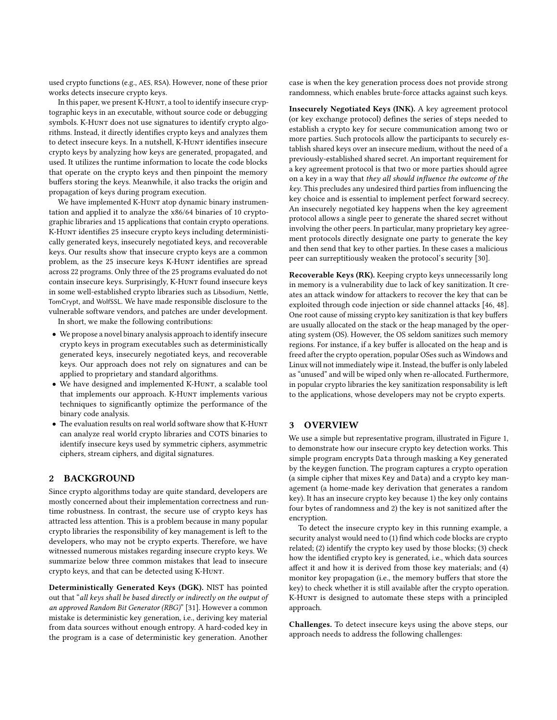used crypto functions (e.g., AES, RSA). However, none of these prior works detects insecure crypto keys.

In this paper, we present K-HUNT, a tool to identify insecure cryptographic keys in an executable, without source code or debugging symbols. K-Hunt does not use signatures to identify crypto algorithms. Instead, it directly identifies crypto keys and analyzes them to detect insecure keys. In a nutshell, K-HUNT identifies insecure crypto keys by analyzing how keys are generated, propagated, and used. It utilizes the runtime information to locate the code blocks that operate on the crypto keys and then pinpoint the memory buffers storing the keys. Meanwhile, it also tracks the origin and propagation of keys during program execution.

We have implemented K-HUNT atop dynamic binary instrumentation and applied it to analyze the x86/64 binaries of 10 cryptographic libraries and 15 applications that contain crypto operations. K-Hunt identifies 25 insecure crypto keys including deterministically generated keys, insecurely negotiated keys, and recoverable keys. Our results show that insecure crypto keys are a common problem, as the 25 insecure keys K-HUNT identifies are spread across 22 programs. Only three of the 25 programs evaluated do not contain insecure keys. Surprisingly, K-HUNT found insecure keys in some well-established crypto libraries such as Libsodium, Nettle, TomCrypt, and WolfSSL. We have made responsible disclosure to the vulnerable software vendors, and patches are under development. In short, we make the following contributions:

- We propose a novel binary analysis approach to identify insecure crypto keys in program executables such as deterministically generated keys, insecurely negotiated keys, and recoverable keys. Our approach does not rely on signatures and can be applied to proprietary and standard algorithms.
- We have designed and implemented K-HUNT, a scalable tool that implements our approach. K-HUNT implements various techniques to significantly optimize the performance of the binary code analysis.
- The evaluation results on real world software show that K-HUNT can analyze real world crypto libraries and COTS binaries to identify insecure keys used by symmetric ciphers, asymmetric ciphers, stream ciphers, and digital signatures.

#### 2 BACKGROUND

Since crypto algorithms today are quite standard, developers are mostly concerned about their implementation correctness and runtime robustness. In contrast, the secure use of crypto keys has attracted less attention. This is a problem because in many popular crypto libraries the responsibility of key management is left to the developers, who may not be crypto experts. Therefore, we have witnessed numerous mistakes regarding insecure crypto keys. We summarize below three common mistakes that lead to insecure crypto keys, and that can be detected using K-Hunt.

Deterministically Generated Keys (DGK). NIST has pointed out that "all keys shall be based directly or indirectly on the output of an approved Random Bit Generator (RBG)" [\[31\]](#page-12-6). However a common mistake is deterministic key generation, i.e., deriving key material from data sources without enough entropy. A hard-coded key in the program is a case of deterministic key generation. Another

case is when the key generation process does not provide strong randomness, which enables brute-force attacks against such keys.

Insecurely Negotiated Keys (INK). A key agreement protocol (or key exchange protocol) defines the series of steps needed to establish a crypto key for secure communication among two or more parties. Such protocols allow the participants to securely establish shared keys over an insecure medium, without the need of a previously-established shared secret. An important requirement for a key agreement protocol is that two or more parties should agree on a key in a way that they all should influence the outcome of the key. This precludes any undesired third parties from influencing the key choice and is essential to implement perfect forward secrecy. An insecurely negotiated key happens when the key agreement protocol allows a single peer to generate the shared secret without involving the other peers. In particular, many proprietary key agreement protocols directly designate one party to generate the key and then send that key to other parties. In these cases a malicious peer can surreptitiously weaken the protocol's security [\[30\]](#page-12-7).

Recoverable Keys (RK). Keeping crypto keys unnecessarily long in memory is a vulnerability due to lack of key sanitization. It creates an attack window for attackers to recover the key that can be exploited through code injection or side channel attacks [\[46,](#page-12-8) [48\]](#page-12-9). One root cause of missing crypto key sanitization is that key buffers are usually allocated on the stack or the heap managed by the operating system (OS). However, the OS seldom sanitizes such memory regions. For instance, if a key buffer is allocated on the heap and is freed after the crypto operation, popular OSes such as Windows and Linux will not immediately wipe it. Instead, the buffer is only labeled as "unused" and will be wiped only when re-allocated. Furthermore, in popular crypto libraries the key sanitization responsability is left to the applications, whose developers may not be crypto experts.

# 3 OVERVIEW

We use a simple but representative program, illustrated in [Figure 1,](#page-2-0) to demonstrate how our insecure crypto key detection works. This simple program encrypts Data through masking a Key generated by the keygen function. The program captures a crypto operation (a simple cipher that mixes Key and Data) and a crypto key management (a home-made key derivation that generates a random key). It has an insecure crypto key because 1) the key only contains four bytes of randomness and 2) the key is not sanitized after the encryption.

To detect the insecure crypto key in this running example, a security analyst would need to (1) find which code blocks are crypto related; (2) identify the crypto key used by those blocks; (3) check how the identified crypto key is generated, i.e., which data sources affect it and how it is derived from those key materials; and (4) monitor key propagation (i.e., the memory buffers that store the key) to check whether it is still available after the crypto operation. K-Hunt is designed to automate these steps with a principled approach.

Challenges. To detect insecure keys using the above steps, our approach needs to address the following challenges: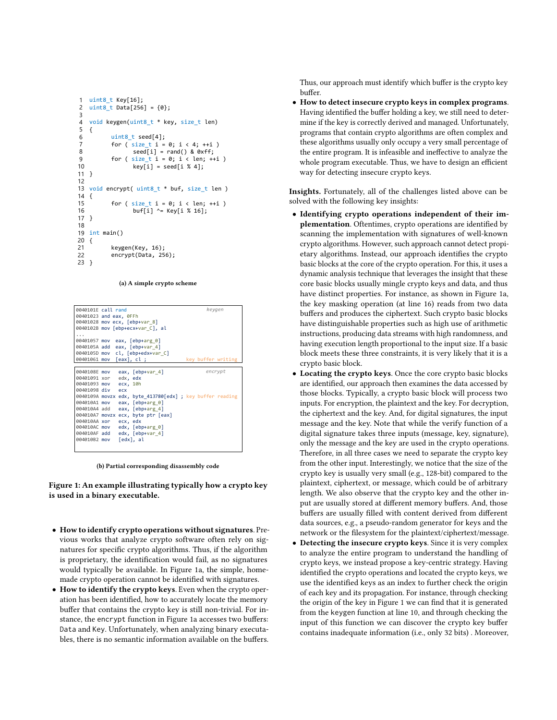```
1 uint8_t Key[16];
    uint8_t Data[256] = {0};
    void keygen(uint8 t * key, size t len)
    {
            uint8_t seed[4];
            for (size_t i = 0; i < 4; ++i)seed[i] = rand() & Qxff;for ( size t i = 0; i < len; ++i )
                    key[i] = seed[i % 4];}
11
13 void encrypt( uint8_t * buf, size_t len )
   {
            for ( size_t i = 0; i < len; ++i )
                    buf\overline{\left[\begin{matrix}i\end{matrix}\right]} ^= Key\overline{\left[\begin{matrix}i&1\\end{matrix}\right]} 16];
   }
    int main()
   {
            keygen(Key, 16);
            encrypt(Data, 256);
}
23
2
3
4
5
6
\frac{1}{7}8
9
10
12
14
15
16
17
18
19
20
21
22
```
(a) A simple crypto scheme

<span id="page-2-2"></span>

| 0040101E call rand<br>00401023 and eax, 0FFh                                                                                                                     |                 | 00401028 mov ecx, [ebp+var 8]<br>0040102B mov [ebp+ecx+var C], al                                                                                                                                 | keygen             |
|------------------------------------------------------------------------------------------------------------------------------------------------------------------|-----------------|---------------------------------------------------------------------------------------------------------------------------------------------------------------------------------------------------|--------------------|
| 00401061 mov [eax], cl;                                                                                                                                          |                 | 00401057 mov eax, [ebp+arg 0]<br>0040105A add eax, [ebp+var 4]<br>0040105D mov cl, [ebp+edx+var C]                                                                                                | key buffer writing |
| 00401091 xor edx, edx<br>00401093 mov ecx, 10h<br>00401098 div<br>004010A1 mov<br>004010A4 add<br>004010A7 movzx<br>004010AA xor<br>004010AC mov<br>004010AF add | ecx<br>ecx, edx | 0040108E mov eax, [ebp+var 4]<br>0040109A movzx edx, byte 413780[edx] ; key buffer reading<br>eax, [ebp+arg 0]<br>eax, [ebp+arg 4]<br>ecx, byte ptr [eax]<br>edx, [ebp+arg 0]<br>edx, [ebp+var 4] | encrypt            |
| 004010B2 mov                                                                                                                                                     | [edx], al       |                                                                                                                                                                                                   |                    |
|                                                                                                                                                                  |                 |                                                                                                                                                                                                   |                    |

(b) Partial corresponding disassembly code

Figure 1: An example illustrating typically how a crypto key is used in a binary executable.

- How to identify crypto operations without signatures. Previous works that analyze crypto software often rely on signatures for specific crypto algorithms. Thus, if the algorithm is proprietary, the identification would fail, as no signatures would typically be available. In Figur[e 1a,](#page-2-1) the simple, homemade crypto operation cannot be identified with signatures.
- How to identify the crypto keys. Even when the crypto operation has been identified, how to accurately locate the memory buffer that contains the crypto key is still non-trivial. For instance, the encrypt function in Figur[e 1a](#page-2-1) accesses two buffers: Data and Key. Unfortunately, when analyzing binary executables, there is no semantic information available on the buffers.

Thus, our approach must identify which buffer is the crypto key buffer.

• How to detect insecure crypto keys in complex programs. Having identified the buffer holding a key, we still need to determine if the key is correctly derived and managed. Unfortunately, programs that contain crypto algorithms are often complex and these algorithms usually only occupy a very small percentage of the entire program. It is infeasible and ineffective to analyze the whole program executable. Thus, we have to design an efficient way for detecting insecure crypto keys.

Insights. Fortunately, all of the challenges listed above can be solved with the following key insights:

- Identifying crypto operations independent of their implementation. Oftentimes, crypto operations are identified by scanning the implementation with signatures of well-known crypto algorithms. However, such approach cannot detect propietary algorithms. Instead, our approach identifies the crypto basic blocks at the core of the crypto operation. For this, it uses a dynamic analysis technique that leverages the insight that these core basic blocks usually mingle crypto keys and data, and thus have distinct properties. For instance, as shown in Figure [1a,](#page-2-1) the key masking operation (at line 16) reads from two data buffers and produces the ciphertext. Such crypto basic blocks have distinguishable properties such as high use of arithmetic instructions, producing data streams with high randomness, and having execution length proportional to the input size. If a basic block meets these three constraints, it is very likely that it is a crypto basic block.
- Locating the crypto keys. Once the core crypto basic blocks are identified, our approach then examines the data accessed by those blocks. Typically, a crypto basic block will process two inputs. For encryption, the plaintext and the key. For decryption, the ciphertext and the key. And, for digital signatures, the input message and the key. Note that while the verify function of a digital signature takes three inputs (message, key, signature), only the message and the key are used in the crypto operations. Therefore, in all three cases we need to separate the crypto key from the other input. Interestingly, we notice that the size of the crypto key is usually very small (e.g., 128-bit) compared to the plaintext, ciphertext, or message, which could be of arbitrary length. We also observe that the crypto key and the other input are usually stored at different memory buffers. And, those buffers are usually filled with content derived from different data sources, e.g., a pseudo-random generator for keys and the network or the filesystem for the plaintext/ciphertext/message.
- Detecting the insecure crypto keys. Since it is very complex to analyze the entire program to understand the handling of crypto keys, we instead propose a key-centric strategy. Having identified the crypto operations and located the crypto keys, we use the identified keys as an index to further check the origin of each key and its propagation. For instance, through checking the origin of the key in [Figure 1](#page-2-0) we can find that it is generated from the keygen function at line 10, and through checking the input of this function we can discover the crypto key buffer contains inadequate information (i.e., only 32 bits) . Moreover,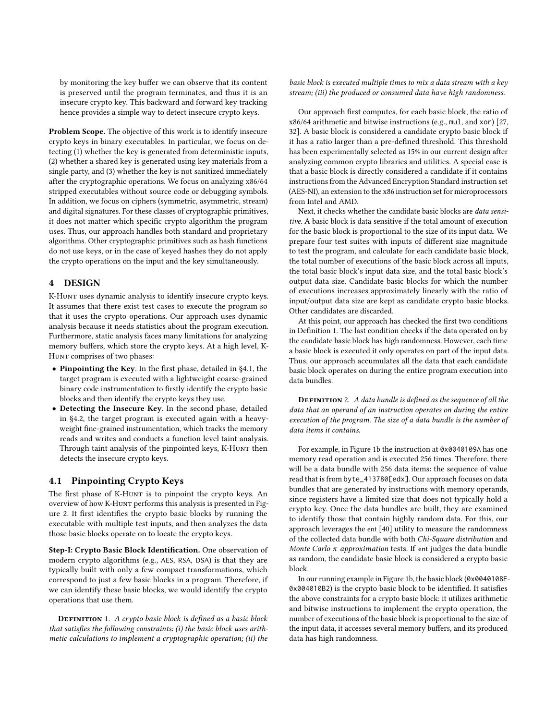by monitoring the key buffer we can observe that its content is preserved until the program terminates, and thus it is an insecure crypto key. This backward and forward key tracking hence provides a simple way to detect insecure crypto keys.

Problem Scope. The objective of this work is to identify insecure crypto keys in binary executables. In particular, we focus on detecting (1) whether the key is generated from deterministic inputs, (2) whether a shared key is generated using key materials from a single party, and (3) whether the key is not sanitized immediately after the cryptographic operations. We focus on analyzing x86/64 stripped executables without source code or debugging symbols. In addition, we focus on ciphers (symmetric, asymmetric, stream) and digital signatures. For these classes of cryptographic primitives, it does not matter which specific crypto algorithm the program uses. Thus, our approach handles both standard and proprietary algorithms. Other cryptographic primitives such as hash functions do not use keys, or in the case of keyed hashes they do not apply the crypto operations on the input and the key simultaneously.

# 4 DESIGN

K-Hunt uses dynamic analysis to identify insecure crypto keys. It assumes that there exist test cases to execute the program so that it uses the crypto operations. Our approach uses dynamic analysis because it needs statistics about the program execution. Furthermore, static analysis faces many limitations for analyzing memory buffers, which store the crypto keys. At a high level, K-Hunt comprises of two phases:

- Pinpointing the Key. In the first phase, detailed in [§4.1,](#page-3-0) the target program is executed with a lightweight coarse-grained binary code instrumentation to firstly identify the crypto basic blocks and then identify the crypto keys they use.
- Detecting the Insecure Key. In the second phase, detailed in [§4.2,](#page-4-0) the target program is executed again with a heavyweight fine-grained instrumentation, which tracks the memory reads and writes and conducts a function level taint analysis. Through taint analysis of the pinpointed keys, K-HUNT then detects the insecure crypto keys.

# <span id="page-3-0"></span>4.1 Pinpointing Crypto Keys

The first phase of K-HUNT is to pinpoint the crypto keys. An overview of how K-Hunt performs this analysis is presented in [Fig](#page-4-1)[ure 2.](#page-4-1) It first identifies the crypto basic blocks by running the executable with multiple test inputs, and then analyzes the data those basic blocks operate on to locate the crypto keys.

Step-I: Crypto Basic Block Identification. One observation of modern crypto algorithms (e.g., AES, RSA, DSA) is that they are typically built with only a few compact transformations, which correspond to just a few basic blocks in a program. Therefore, if we can identify these basic blocks, we would identify the crypto operations that use them.

<span id="page-3-1"></span>**DEFINITION** 1. A crypto basic block is defined as a basic block that satisfies the following constraints: (i) the basic block uses arithmetic calculations to implement a cryptographic operation; (ii) the

basic block is executed multiple times to mix a data stream with a key stream; (iii) the produced or consumed data have high randomness.

Our approach first computes, for each basic block, the ratio of x86/64 arithmetic and bitwise instructions (e.g., mul, and xor) [\[27,](#page-12-10) [32\]](#page-12-4). A basic block is considered a candidate crypto basic block if it has a ratio larger than a pre-defined threshold. This threshold has been experimentally selected as 15% in our current design after analyzing common crypto libraries and utilities. A special case is that a basic block is directly considered a candidate if it contains instructions from the Advanced Encryption Standard instruction set (AES-NI), an extension to the x86 instruction set for microprocessors from Intel and AMD.

Next, it checks whether the candidate basic blocks are data sensitive. A basic block is data sensitive if the total amount of execution for the basic block is proportional to the size of its input data. We prepare four test suites with inputs of different size magnitude to test the program, and calculate for each candidate basic block, the total number of executions of the basic block across all inputs, the total basic block's input data size, and the total basic block's output data size. Candidate basic blocks for which the number of executions increases approximately linearly with the ratio of input/output data size are kept as candidate crypto basic blocks. Other candidates are discarded.

At this point, our approach has checked the first two conditions in Definition [1.](#page-3-1) The last condition checks if the data operated on by the candidate basic block has high randomness. However, each time a basic block is executed it only operates on part of the input data. Thus, our approach accumulates all the data that each candidate basic block operates on during the entire program execution into data bundles.

**DEFINITION** 2. A data bundle is defined as the sequence of all the data that an operand of an instruction operates on during the entire execution of the program. The size of a data bundle is the number of data items it contains.

For example, in Figure [1b](#page-2-2) the instruction at 0x0040109A has one memory read operation and is executed 256 times. Therefore, there will be a data bundle with 256 data items: the sequence of value read that is from byte\_413780[edx]. Our approach focuses on data bundles that are generated by instructions with memory operands, since registers have a limited size that does not typically hold a crypto key. Once the data bundles are built, they are examined to identify those that contain highly random data. For this, our approach leverages the ent [\[40\]](#page-12-11) utility to measure the randomness of the collected data bundle with both Chi-Square distribution and Monte Carlo  $\pi$  approximation tests. If ent judges the data bundle as random, the candidate basic block is considered a crypto basic block.

In our running example in Figure [1b,](#page-2-2) the basic block (0x0040108E-0x004010B2) is the crypto basic block to be identified. It satisfies the above constraints for a crypto basic block: it utilizes arithmetic and bitwise instructions to implement the crypto operation, the number of executions of the basic block is proportional to the size of the input data, it accesses several memory buffers, and its produced data has high randomness.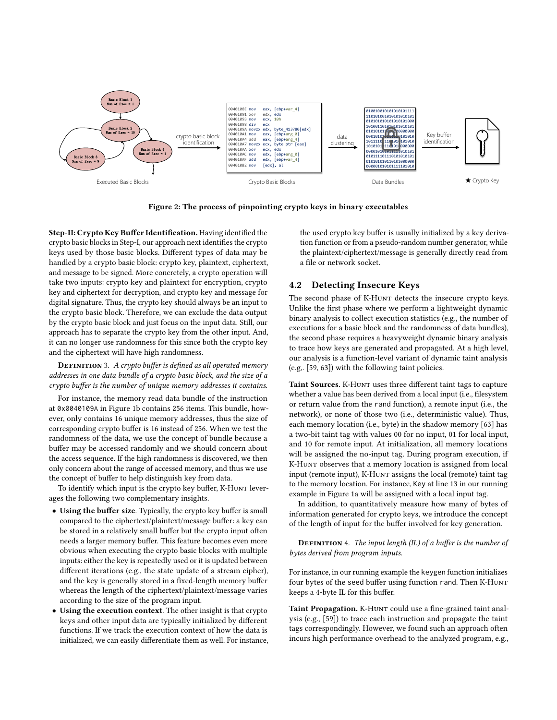<span id="page-4-1"></span>

Figure 2: The process of pinpointing crypto keys in binary executables

Step-II: Crypto Key Buffer Identification. Having identified the crypto basic blocks in Step-I, our approach next identifies the crypto keys used by those basic blocks. Different types of data may be handled by a crypto basic block: crypto key, plaintext, ciphertext, and message to be signed. More concretely, a crypto operation will take two inputs: crypto key and plaintext for encryption, crypto key and ciphertext for decryption, and crypto key and message for digital signature. Thus, the crypto key should always be an input to the crypto basic block. Therefore, we can exclude the data output by the crypto basic block and just focus on the input data. Still, our approach has to separate the crypto key from the other input. And, it can no longer use randomness for this since both the crypto key and the ciphertext will have high randomness.

#### **DEFINITION** 3. A crypto buffer is defined as all operated memory addresses in one data bundle of a crypto basic block, and the size of a crypto buffer is the number of unique memory addresses it contains.

For instance, the memory read data bundle of the instruction at 0x0040109A in Figure [1b](#page-2-2) contains 256 items. This bundle, however, only contains 16 unique memory addresses, thus the size of corresponding crypto buffer is 16 instead of 256. When we test the randomness of the data, we use the concept of bundle because a buffer may be accessed randomly and we should concern about the access sequence. If the high randomness is discovered, we then only concern about the range of accessed memory, and thus we use the concept of buffer to help distinguish key from data.

To identify which input is the crypto key buffer, K-HUNT leverages the following two complementary insights.

- Using the buffer size. Typically, the crypto key buffer is small compared to the ciphertext/plaintext/message buffer: a key can be stored in a relatively small buffer but the crypto input often needs a larger memory buffer. This feature becomes even more obvious when executing the crypto basic blocks with multiple inputs: either the key is repeatedly used or it is updated between different iterations (e.g., the state update of a stream cipher), and the key is generally stored in a fixed-length memory buffer whereas the length of the ciphertext/plaintext/message varies according to the size of the program input.
- Using the execution context. The other insight is that crypto keys and other input data are typically initialized by different functions. If we track the execution context of how the data is initialized, we can easily differentiate them as well. For instance,

the used crypto key buffer is usually initialized by a key derivation function or from a pseudo-random number generator, while the plaintext/ciphertext/message is generally directly read from a file or network socket.

# <span id="page-4-0"></span>4.2 Detecting Insecure Keys

The second phase of K-Hunt detects the insecure crypto keys. Unlike the first phase where we perform a lightweight dynamic binary analysis to collect execution statistics (e.g., the number of executions for a basic block and the randomness of data bundles), the second phase requires a heavyweight dynamic binary analysis to trace how keys are generated and propagated. At a high level, our analysis is a function-level variant of dynamic taint analysis (e.g,. [\[59,](#page-13-4) [63\]](#page-13-5)) with the following taint policies.

Taint Sources. K-HUNT uses three different taint tags to capture whether a value has been derived from a local input (i.e., filesystem or return value from the rand function), a remote input (i.e., the network), or none of those two (i.e., deterministic value). Thus, each memory location (i.e., byte) in the shadow memory [\[63\]](#page-13-5) has a two-bit taint tag with values 00 for no input, 01 for local input, and 10 for remote input. At initialization, all memory locations will be assigned the no-input tag. During program execution, if K-Hunt observes that a memory location is assigned from local input (remote input), K-HUNT assigns the local (remote) taint tag to the memory location. For instance, Key at line 13 in our running example in Figure [1a](#page-2-1) will be assigned with a local input tag.

In addition, to quantitatively measure how many of bytes of information generated for crypto keys, we introduce the concept of the length of input for the buffer involved for key generation.

**DEFINITION** 4. The input length  $(IL)$  of a buffer is the number of bytes derived from program inputs.

For instance, in our running example the keygen function initializes four bytes of the seed buffer using function rand. Then K-HUNT keeps a 4-byte IL for this buffer.

Taint Propagation. K-HUNT could use a fine-grained taint analysis (e.g., [\[59\]](#page-13-4)) to trace each instruction and propagate the taint tags correspondingly. However, we found such an approach often incurs high performance overhead to the analyzed program, e.g.,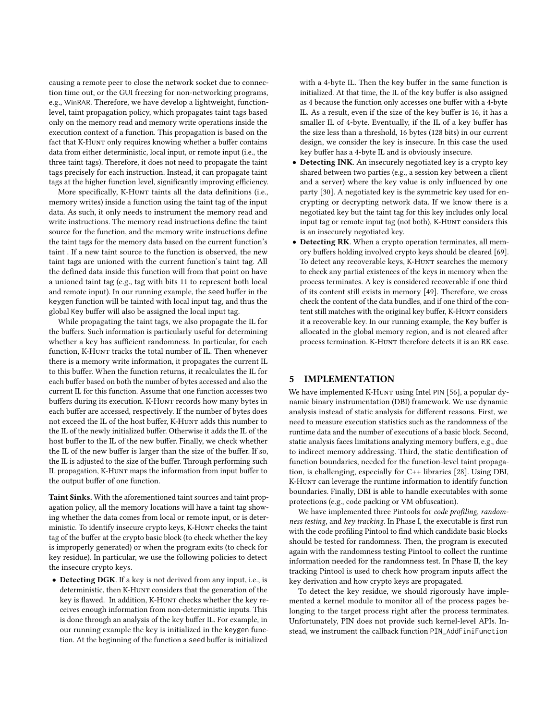causing a remote peer to close the network socket due to connection time out, or the GUI freezing for non-networking programs, e.g., WinRAR. Therefore, we have develop a lightweight, functionlevel, taint propagation policy, which propagates taint tags based only on the memory read and memory write operations inside the execution context of a function. This propagation is based on the fact that K-Hunt only requires knowing whether a buffer contains data from either deterministic, local input, or remote input (i.e., the three taint tags). Therefore, it does not need to propagate the taint tags precisely for each instruction. Instead, it can propagate taint tags at the higher function level, significantly improving efficiency.

More specifically, K-HUNT taints all the data definitions (i.e., memory writes) inside a function using the taint tag of the input data. As such, it only needs to instrument the memory read and write instructions. The memory read instructions define the taint source for the function, and the memory write instructions define the taint tags for the memory data based on the current function's taint . If a new taint source to the function is observed, the new taint tags are unioned with the current function's taint tag. All the defined data inside this function will from that point on have a unioned taint tag (e.g., tag with bits 11 to represent both local and remote input). In our running example, the seed buffer in the keygen function will be tainted with local input tag, and thus the global Key buffer will also be assigned the local input tag.

While propagating the taint tags, we also propagate the IL for the buffers. Such information is particularly useful for determining whether a key has sufficient randomness. In particular, for each function, K-Hunt tracks the total number of IL. Then whenever there is a memory write information, it propagates the current IL to this buffer. When the function returns, it recalculates the IL for each buffer based on both the number of bytes accessed and also the current IL for this function. Assume that one function accesses two buffers during its execution. K-HUNT records how many bytes in each buffer are accessed, respectively. If the number of bytes does not exceed the IL of the host buffer, K-HUNT adds this number to the IL of the newly initialized buffer. Otherwise it adds the IL of the host buffer to the IL of the new buffer. Finally, we check whether the IL of the new buffer is larger than the size of the buffer. If so, the IL is adjusted to the size of the buffer. Through performing such IL propagation, K-Hunt maps the information from input buffer to the output buffer of one function.

Taint Sinks. With the aforementioned taint sources and taint propagation policy, all the memory locations will have a taint tag showing whether the data comes from local or remote input, or is deterministic. To identify insecure crypto keys, K-HUNT checks the taint tag of the buffer at the crypto basic block (to check whether the key is improperly generated) or when the program exits (to check for key residue). In particular, we use the following policies to detect the insecure crypto keys.

• Detecting DGK. If a key is not derived from any input, i.e., is deterministic, then K-HUNT considers that the generation of the key is flawed. In addition, K-HUNT checks whether the key receives enough information from non-deterministic inputs. This is done through an analysis of the key buffer IL. For example, in our running example the key is initialized in the keygen function. At the beginning of the function a seed buffer is initialized

with a 4-byte IL. Then the key buffer in the same function is initialized. At that time, the IL of the key buffer is also assigned as 4 because the function only accesses one buffer with a 4-byte IL. As a result, even if the size of the key buffer is 16, it has a smaller IL of 4-byte. Eventually, if the IL of a key buffer has the size less than a threshold, 16 bytes (128 bits) in our current design, we consider the key is insecure. In this case the used key buffer has a 4-byte IL and is obviously insecure.

- Detecting INK. An insecurely negotiated key is a crypto key shared between two parties (e.g., a session key between a client and a server) where the key value is only influenced by one party [\[30\]](#page-12-7). A negotiated key is the symmetric key used for encrypting or decrypting network data. If we know there is a negotiated key but the taint tag for this key includes only local input tag or remote input tag (not both), K-HUNT considers this is an insecurely negotiated key.
- Detecting RK. When a crypto operation terminates, all memory buffers holding involved crypto keys should be cleared [\[69\]](#page-13-6). To detect any recoverable keys, K-HUNT searches the memory to check any partial existences of the keys in memory when the process terminates. A key is considered recoverable if one third of its content still exists in memory [\[49\]](#page-12-12). Therefore, we cross check the content of the data bundles, and if one third of the content still matches with the original key buffer, K-HUNT considers it a recoverable key. In our running example, the Key buffer is allocated in the global memory region, and is not cleared after process termination. K-HUNT therefore detects it is an RK case.

#### <span id="page-5-0"></span>5 IMPLEMENTATION

We have implemented K-HUNT using Intel PIN [\[56\]](#page-13-7), a popular dynamic binary instrumentation (DBI) framework. We use dynamic analysis instead of static analysis for different reasons. First, we need to measure execution statistics such as the randomness of the runtime data and the number of executions of a basic block. Second, static analysis faces limitations analyzing memory buffers, e.g., due to indirect memory addressing. Third, the static dentification of function boundaries, needed for the function-level taint propagation, is challenging, especially for C++ libraries [\[28\]](#page-12-13). Using DBI, K-HUNT can leverage the runtime information to identify function boundaries. Finally, DBI is able to handle executables with some protections (e.g., code packing or VM obfuscation).

We have implemented three Pintools for code profiling, randomness testing, and key tracking. In Phase I, the executable is first run with the code profiling Pintool to find which candidate basic blocks should be tested for randomness. Then, the program is executed again with the randomness testing Pintool to collect the runtime information needed for the randomness test. In Phase II, the key tracking Pintool is used to check how program inputs affect the key derivation and how crypto keys are propagated.

To detect the key residue, we should rigorously have implemented a kernel module to monitor all of the process pages belonging to the target process right after the process terminates. Unfortunately, PIN does not provide such kernel-level APIs. Instead, we instrument the callback function PIN\_AddFiniFunction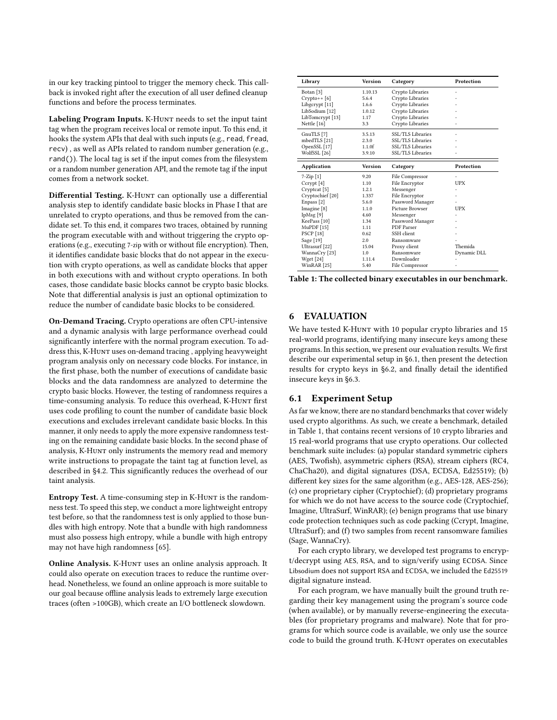in our key tracking pintool to trigger the memory check. This callback is invoked right after the execution of all user defined cleanup functions and before the process terminates.

Labeling Program Inputs. K-HUNT needs to set the input taint tag when the program receives local or remote input. To this end, it hooks the system APIs that deal with such inputs (e.g., read, fread, recv) , as well as APIs related to random number generation (e.g., rand()). The local tag is set if the input comes from the filesystem or a random number generation API, and the remote tag if the input comes from a network socket.

Differential Testing. K-HUNT can optionally use a differential analysis step to identify candidate basic blocks in Phase I that are unrelated to crypto operations, and thus be removed from the candidate set. To this end, it compares two traces, obtained by running the program executable with and without triggering the crypto operations (e.g., executing 7-zip with or without file encryption). Then, it identifies candidate basic blocks that do not appear in the execution with crypto operations, as well as candidate blocks that apper in both executions with and without crypto operations. In both cases, those candidate basic blocks cannot be crypto basic blocks. Note that differential analysis is just an optional optimization to reduce the number of candidate basic blocks to be considered.

On-Demand Tracing. Crypto operations are often CPU-intensive and a dynamic analysis with large performance overhead could significantly interfere with the normal program execution. To address this, K-Hunt uses on-demand tracing , applying heavyweight program analysis only on necessary code blocks. For instance, in the first phase, both the number of executions of candidate basic blocks and the data randomness are analyzed to determine the crypto basic blocks. However, the testing of randomness requires a time-consuming analysis. To reduce this overhead, K-HUNT first uses code profiling to count the number of candidate basic block executions and excludes irrelevant candidate basic blocks. In this manner, it only needs to apply the more expensive randomness testing on the remaining candidate basic blocks. In the second phase of analysis, K-Hunt only instruments the memory read and memory write instructions to propagate the taint tag at function level, as described in [§4.2.](#page-4-0) This significantly reduces the overhead of our taint analysis.

Entropy Test. A time-consuming step in K-HUNT is the randomness test. To speed this step, we conduct a more lightweight entropy test before, so that the randomness test is only applied to those bundles with high entropy. Note that a bundle with high randomness must also possess high entropy, while a bundle with high entropy may not have high randomness [\[65\]](#page-13-8).

Online Analysis. K-HUNT uses an online analysis approach. It could also operate on execution traces to reduce the runtime overhead. Nonetheless, we found an online approach is more suitable to our goal because offline analysis leads to extremely large execution traces (often >100GB), which create an I/O bottleneck slowdown.

<span id="page-6-1"></span>

| Library                 | <b>Version</b> | Category          | Protection  |  |
|-------------------------|----------------|-------------------|-------------|--|
| Botan <sup>[3]</sup>    | 1.10.13        | Crypto Libraries  |             |  |
| $Crypto++[6]$           | 5.6.4          | Crypto Libraries  |             |  |
| Libgcrypt [11]          | 1.6.6          | Crypto Libraries  |             |  |
| LibSodium [12]          | 1.0.12         | Crypto Libraries  |             |  |
| LibTomcrypt [13]        | 1.17           | Crypto Libraries  |             |  |
| Nettle [16]             | 3.3            | Crypto Libraries  |             |  |
| GnuTLS [7]              | 3.5.13         | SSL/TLS Libraries |             |  |
| mbedTLS [21]            | 2.3.0          | SSL/TLS Libraries |             |  |
| OpenSSL [17]            | 1.1.0f         | SSL/TLS Libraries |             |  |
| WolfSSL [26]<br>3.9.10  |                | SSL/TLS Libraries |             |  |
| <b>Application</b>      | <b>Version</b> | Category          | Protection  |  |
| $7 - Zip [1]$           | 9.20           | File Compressor   |             |  |
| Ccrypt <sup>[4]</sup>   | 1.10           | File Encryptor    | <b>UPX</b>  |  |
| Cryptcat [5]            | 1.2.1          | Messenger         |             |  |
|                         | 1.337          | File Encryptor    |             |  |
| Cryptochief [20]        |                |                   |             |  |
| Enpass <sup>[2]</sup>   | 5.6.0          | Password Manager  |             |  |
| Imagine [8]             | 1.1.0          | Picture Browser   | <b>UPX</b>  |  |
| IpMsg $[9]$             | 4.60           | Messenger         |             |  |
| KeePass <sup>[10]</sup> | 1.34           | Password Manager  |             |  |
| MuPDF [15]              | 1.11           | PDF Parser        |             |  |
| <b>PSCP</b> [18]        | 0.62           | SSH client        |             |  |
| Sage [19]               | 2.0            | Ransomware        |             |  |
| Ultrasurf [22]          | 15.04          | Proxy client      | Themida     |  |
| WannaCry [23]           | 1.0            | Ransomware        |             |  |
| Wget [24]               | 1.11.4         | Downloader        | Dynamic DLL |  |
| WinRAR <sup>[25]</sup>  | 5.40           | File Compressor   |             |  |

Table 1: The collected binary executables in our benchmark.

#### 6 EVALUATION

We have tested K-Hunt with 10 popular crypto libraries and 15 real-world programs, identifying many insecure keys among these programs. In this section, we present our evaluation results. We first describe our experimental setup in [§6.1,](#page-6-0) then present the detection results for crypto keys in [§6.2,](#page-7-0) and finally detail the identified insecure keys in [§6.3.](#page-8-0)

#### <span id="page-6-0"></span>6.1 Experiment Setup

As far we know, there are no standard benchmarks that cover widely used crypto algorithms. As such, we create a benchmark, detailed in [Table 1,](#page-6-1) that contains recent versions of 10 crypto libraries and 15 real-world programs that use crypto operations. Our collected benchmark suite includes: (a) popular standard symmetric ciphers (AES, Twofish), asymmetric ciphers (RSA), stream ciphers (RC4, ChaCha20), and digital signatures (DSA, ECDSA, Ed25519); (b) different key sizes for the same algorithm (e.g., AES-128, AES-256); (c) one proprietary cipher (Cryptochief); (d) proprietary programs for which we do not have access to the source code (Cryptochief, Imagine, UltraSurf, WinRAR); (e) benign programs that use binary code protection techniques such as code packing (Ccrypt, Imagine, UltraSurf); and (f) two samples from recent ransomware families (Sage, WannaCry).

For each crypto library, we developed test programs to encrypt/decrypt using AES, RSA, and to sign/verify using ECDSA. Since Libsodium does not support RSA and ECDSA, we included the Ed25519 digital signature instead.

For each program, we have manually built the ground truth regarding their key management using the program's source code (when available), or by manually reverse-engineering the executables (for proprietary programs and malware). Note that for programs for which source code is available, we only use the source code to build the ground truth. K-HUNT operates on executables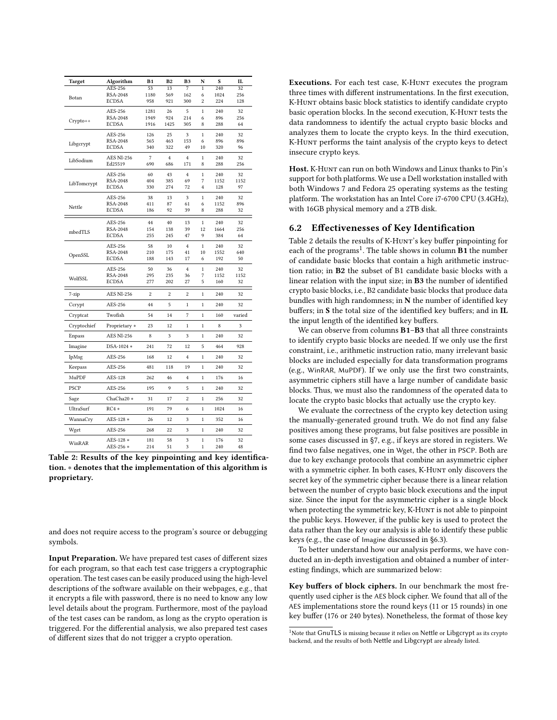<span id="page-7-1"></span>

| Target      | Algorithm                       | <b>B1</b>      | B <sub>2</sub>        | B <sub>3</sub>        | N                 | s           | IL              |
|-------------|---------------------------------|----------------|-----------------------|-----------------------|-------------------|-------------|-----------------|
|             | <b>AES-256</b>                  | 53             | 13                    | 7                     | $\overline{1}$    | 240         | $\overline{32}$ |
| Botan       | <b>RSA-2048</b>                 | 1180           | 569                   | 162                   | 6                 | 1024        | 256             |
|             | <b>ECDSA</b>                    | 958            | 921                   | 300                   | $\overline{c}$    | 224         | 128             |
|             | AES-256                         | 1281           | 26                    | 5                     | $\mathbf{1}$      | 240         | 32              |
| $Crypto++$  | <b>RSA-2048</b><br><b>ECDSA</b> | 1949<br>1916   | 924<br>1425           | 214<br>305            | 6<br>8            | 896<br>288  | 256<br>64       |
|             |                                 |                |                       |                       |                   |             |                 |
|             | AES-256                         | 126            | 25                    | 3                     | $\mathbf{1}$      | 240         | 32              |
| Libgcrypt   | <b>RSA-2048</b><br><b>ECDSA</b> | 565<br>340     | 463<br>322            | 153<br>49             | 6<br>10           | 896<br>320  | 896<br>96       |
| LibSodium   | <b>AES NI-256</b><br>Ed25519    | 7<br>690       | $\overline{4}$<br>686 | $\overline{4}$<br>171 | $\mathbf{1}$<br>8 | 240<br>288  | 32<br>256       |
|             |                                 |                |                       |                       |                   |             |                 |
|             | AES-256<br>RSA-2048             | 60<br>404      | 43<br>385             | $\overline{4}$<br>69  | $\mathbf{1}$<br>7 | 240<br>1152 | 32<br>1152      |
| LibTomcrypt | <b>ECDSA</b>                    | 330            | 274                   | 72                    | $\overline{4}$    | 128         | 97              |
|             |                                 |                |                       |                       |                   |             |                 |
|             | AES-256<br><b>RSA-2048</b>      | 38<br>411      | 13<br>87              | 3<br>61               | $\mathbf 1$<br>6  | 240<br>1152 | 32<br>896       |
| Nettle      | <b>ECDSA</b>                    | 186            | 92                    | 39                    | 8                 | 288         | 32              |
|             | AES-256                         | 44             | 40                    | 13                    | $\mathbf{1}$      | 240         | 32              |
|             | <b>RSA-2048</b>                 | 154            | 138                   | 39                    | 12                | 1664        | 256             |
| mbedTLS     | <b>ECDSA</b>                    | 255            | 245                   | 47                    | 9                 | 384         | 64              |
|             | AES-256                         | 58             | 10                    | $\overline{4}$        | $\mathbf 1$       | 240         | 32              |
| OpenSSL     | <b>RSA-2048</b>                 | 210            | 175                   | 41                    | 10                | 1552        | 640             |
|             | <b>ECDSA</b>                    | 188            | 143                   | 17                    | 6                 | 192         | 50              |
|             | AES-256                         | 50             | 36                    | $\overline{4}$        | $\mathbf{1}$      | 240         | 32              |
| WolfSSL     | <b>RSA-2048</b>                 | 295            | 235                   | 36                    | 7                 | 1152        | 1152            |
|             | <b>ECDSA</b>                    | 277            | 202                   | 27                    | 5                 | 160         | 32              |
| $7$ -zip    | <b>AES NI-256</b>               | $\overline{c}$ | $\overline{c}$        | $\overline{c}$        | $\mathbf{1}$      | 240         | 32              |
| Ccrypt      | AES-256                         | 44             | 5                     | 1                     | $\,1$             | 240         | 32              |
| Cryptcat    | Twofish                         | 54             | 14                    | $\overline{7}$        | $\mathbf{1}$      | 160         | varied          |
| Cryptochief | Proprietary *                   | 23             | 12                    | $\mathbf{1}$          | $\mathbf{1}$      | 8           | 3               |
| Enpass      | <b>AES NI-256</b>               | 8              | 3                     | 3                     | $\,1$             | 240         | 32              |
| Imagine     | DSA-1024 *                      | 241            | 72                    | 12                    | 5                 | 464         | 928             |
| IpMsg       | AES-256                         | 168            | 12                    | $\overline{4}$        | $\mathbf{1}$      | 240         | 32              |
| Keepass     | AES-256                         | 481            | 118                   | 19                    | $\mathbf{1}$      | 240         | 32              |
| MuPDF       | AES-128                         | 262            | 46                    | $\overline{4}$        | $\mathbf 1$       | 176         | 16              |
| <b>PSCP</b> | AES-256                         | 195            | 9                     | 5                     | $\mathbf 1$       | 240         | 32              |
| Sage        | ChaCha20 *                      | 31             | 17                    | $\overline{c}$        | $\mathbf{1}$      | 256         | 32              |
| UltraSurf   | $RC4*$                          | 191            | 79                    | 6                     | $\mathbf 1$       | 1024        | 16              |
| WannaCry    | AES-128 *                       | 26             | 12                    | 3                     | $\,1$             | 352         | 16              |
| Wget        | AES-256                         | 268            | 22                    | 3                     | $\,1$             | 240         | 32              |
| WinRAR      | AES-128 *<br>AES-256 *          | 181<br>214     | 58<br>51              | 3<br>3                | $\mathbf{1}$<br>1 | 176<br>240  | 32<br>48        |

Table 2: Results of the key pinpointing and key identification. ∗ denotes that the implementation of this algorithm is proprietary.

and does not require access to the program's source or debugging symbols.

Input Preparation. We have prepared test cases of different sizes for each program, so that each test case triggers a cryptographic operation. The test cases can be easily produced using the high-level descriptions of the software available on their webpages, e.g., that it encrypts a file with password, there is no need to know any low level details about the program. Furthermore, most of the payload of the test cases can be random, as long as the crypto operation is triggered. For the differential analysis, we also prepared test cases of different sizes that do not trigger a crypto operation.

Executions. For each test case, K-HUNT executes the program three times with different instrumentations. In the first execution, K-HUNT obtains basic block statistics to identify candidate crypto basic operation blocks. In the second execution, K-HUNT tests the data randomness to identify the actual crypto basic blocks and analyzes them to locate the crypto keys. In the third execution, K-Hunt performs the taint analysis of the crypto keys to detect insecure crypto keys.

Host. K-Hunt can run on both Windows and Linux thanks to Pin's support for both platforms. We use a Dell workstation installed with both Windows 7 and Fedora 25 operating systems as the testing platform. The workstation has an Intel Core i7-6700 CPU (3.4GHz), with 16GB physical memory and a 2TB disk.

#### <span id="page-7-0"></span>6.2 Effectivenesses of Key Identification

[Table 2](#page-7-1) details the results of K-HUNT's key buffer pinpointing for each of the programs<sup>[1](#page-7-2)</sup>. The table shows in column **B1** the number of candidate basic blocks that contain a high arithmetic instruction ratio; in B2 the subset of B1 candidate basic blocks with a linear relation with the input size; in B3 the number of identified crypto basic blocks, i.e., B2 candidate basic blocks that produce data bundles with high randomness; in N the number of identified key buffers; in S the total size of the identified key buffers; and in IL the input length of the identified key buffers.

We can observe from columns **B1-B3** that all three constraints to identify crypto basic blocks are needed. If we only use the first constraint, i.e., arithmetic instruction ratio, many irrelevant basic blocks are included especially for data transformation programs (e.g., WinRAR, MuPDF). If we only use the first two constraints, asymmetric ciphers still have a large number of candidate basic blocks. Thus, we must also the randomness of the operated data to locate the crypto basic blocks that actually use the crypto key.

We evaluate the correctness of the crypto key detection using the manually-generated ground truth. We do not find any false positives among these programs, but false positives are possible in some cases discussed in [§7,](#page-10-0) e.g., if keys are stored in registers. We find two false negatives, one in Wget, the other in PSCP. Both are due to key exchange protocols that combine an asymmetric cipher with a symmetric cipher. In both cases, K-HUNT only discovers the secret key of the symmetric cipher because there is a linear relation between the number of crypto basic block executions and the input size. Since the input for the asymmetric cipher is a single block when protecting the symmetric key, K-HUNT is not able to pinpoint the public keys. However, if the public key is used to protect the data rather than the key our analysis is able to identify these public keys (e.g., the case of Imagine discussed in [§6.3\)](#page-8-0).

To better understand how our analysis performs, we have conducted an in-depth investigation and obtained a number of interesting findings, which are summarized below:

Key buffers of block ciphers. In our benchmark the most frequently used cipher is the AES block cipher. We found that all of the AES implementations store the round keys (11 or 15 rounds) in one key buffer (176 or 240 bytes). Nonetheless, the format of those key

<span id="page-7-2"></span><sup>&</sup>lt;sup>1</sup>Note that GnuTLS is missing because it relies on Nettle or Libgcrypt as its crypto backend, and the results of both Nettle and Libgcrypt are already listed.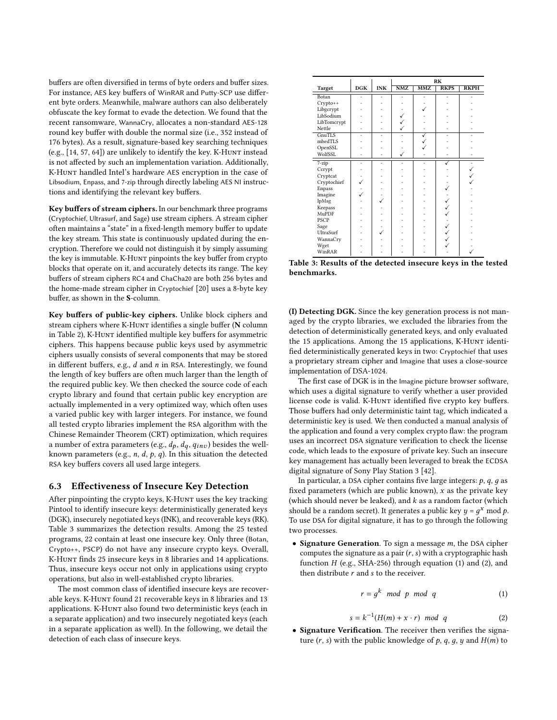buffers are often diversified in terms of byte orders and buffer sizes. For instance, AES key buffers of WinRAR and Putty-SCP use different byte orders. Meanwhile, malware authors can also deliberately obfuscate the key format to evade the detection. We found that the recent ransomware, WannaCry, allocates a non-standard AES-128 round key buffer with double the normal size (i.e., 352 instead of 176 bytes). As a result, signature-based key searching techniques (e.g., [\[14,](#page-12-39) [57,](#page-13-9) [64\]](#page-13-10)) are unlikely to identify the key. K-HUNT instead is not affected by such an implementation variation. Additionally, K-Hunt handled Intel's hardware AES encryption in the case of Libsodium, Enpass, and 7-zip through directly labeling AES NI instructions and identifying the relevant key buffers.

Key buffers of stream ciphers. In our benchmark three programs (Cryptochief, Ultrasurf, and Sage) use stream ciphers. A stream cipher often maintains a "state" in a fixed-length memory buffer to update the key stream. This state is continuously updated during the encryption. Therefore we could not distinguish it by simply assuming the key is immutable. K-Hunt pinpoints the key buffer from crypto blocks that operate on it, and accurately detects its range. The key buffers of stream ciphers RC4 and ChaCha20 are both 256 bytes and the home-made stream cipher in Cryptochief [\[20\]](#page-12-27) uses a 8-byte key buffer, as shown in the S-column.

Key buffers of public-key ciphers. Unlike block ciphers and stream ciphers where K-HUNT identifies a single buffer (N column in [Table 2\)](#page-7-1), K-HUNT identified multiple key buffers for asymmetric ciphers. This happens because public keys used by asymmetric ciphers usually consists of several components that may be stored in different buffers, e.g.,  $d$  and  $n$  in RSA. Interestingly, we found the length of key buffers are often much larger than the length of the required public key. We then checked the source code of each crypto library and found that certain public key encryption are actually implemented in a very optimized way, which often uses a varied public key with larger integers. For instance, we found all tested crypto libraries implement the RSA algorithm with the Chinese Remainder Theorem (CRT) optimization, which requires a number of extra parameters (e.g.,  $d_p$ ,  $d_q$ ,  $q_{inv}$ ) besides the wellknown parameters (e.g.,  $n$ ,  $d$ ,  $p$ ,  $q$ ). In this situation the detected RSA key buffers covers all used large integers.

#### <span id="page-8-0"></span>6.3 Effectiveness of Insecure Key Detection

After pinpointing the crypto keys, K-HUNT uses the key tracking Pintool to identify insecure keys: deterministically generated keys (DGK), insecurely negotiated keys (INK), and recoverable keys (RK). [Table 3](#page-8-1) summarizes the detection results. Among the 25 tested programs, 22 contain at least one insecure key. Only three (Botan, Crypto++, PSCP) do not have any insecure crypto keys. Overall, K-Hunt finds 25 insecure keys in 8 libraries and 14 applications. Thus, insecure keys occur not only in applications using crypto operations, but also in well-established crypto libraries.

The most common class of identified insecure keys are recoverable keys. K-HUNT found 21 recoverable keys in 8 libraries and 13 applications. K-HUNT also found two deterministic keys (each in a separate application) and two insecurely negotiated keys (each in a separate application as well). In the following, we detail the detection of each class of insecure keys.

<span id="page-8-1"></span>

|                  |     |            | RK  |     |             |             |  |  |
|------------------|-----|------------|-----|-----|-------------|-------------|--|--|
| <b>Target</b>    | DGK | <b>INK</b> | NMZ | MMZ | <b>RKPS</b> | <b>RKPH</b> |  |  |
| Botan            |     |            |     |     |             |             |  |  |
| Crypto++         |     |            |     |     |             |             |  |  |
| Libgcrypt        |     |            |     |     |             |             |  |  |
| LibSodium        |     |            |     |     |             |             |  |  |
| LibTomcrypt      |     |            |     |     |             |             |  |  |
| Nettle           |     |            |     |     |             |             |  |  |
| GnuTLS           |     |            |     |     |             |             |  |  |
| mbedTLS          |     |            |     |     |             |             |  |  |
| OpenSSL          |     |            |     |     |             |             |  |  |
| WolfSSL          |     |            |     |     |             |             |  |  |
| 7-zip            |     |            |     |     |             |             |  |  |
| Ccrypt           |     |            |     |     |             |             |  |  |
| Cryptcat         |     |            |     |     |             |             |  |  |
| Cryptochief      |     |            |     |     |             |             |  |  |
| Enpass           |     |            |     |     |             |             |  |  |
| Imagine          |     |            |     |     |             |             |  |  |
| IpMsg            |     |            |     |     |             |             |  |  |
| Keepass          |     |            |     |     |             |             |  |  |
| MuPDF            |     |            |     |     |             |             |  |  |
| PSCP             |     |            |     |     |             |             |  |  |
| Sage             |     |            |     |     |             |             |  |  |
| <b>UltraSurf</b> |     |            |     |     |             |             |  |  |
| WannaCry         |     |            |     |     |             |             |  |  |
| Wget             |     |            |     |     |             |             |  |  |
| WinRAR           |     |            |     |     |             |             |  |  |

Table 3: Results of the detected insecure keys in the tested benchmarks.

(I) Detecting DGK. Since the key generation process is not managed by the crypto libraries, we excluded the libraries from the detection of deterministically generated keys, and only evaluated the 15 applications. Among the 15 applications, K-HUNT identified deterministically generated keys in two: Cryptochief that uses a proprietary stream cipher and Imagine that uses a close-source implementation of DSA-1024.

The first case of DGK is in the Imagine picture browser software, which uses a digital signature to verify whether a user provided license code is valid. K-HUNT identified five crypto key buffers. Those buffers had only deterministic taint tag, which indicated a deterministic key is used. We then conducted a manual analysis of the application and found a very complex crypto flaw: the program uses an incorrect DSA signature verification to check the license code, which leads to the exposure of private key. Such an insecure key management has actually been leveraged to break the ECDSA digital signature of Sony Play Station 3 [\[42\]](#page-12-40).

In particular, a DSA cipher contains five large integers:  $p$ ,  $q$ ,  $g$  as fixed parameters (which are public known),  $x$  as the private key (which should never be leaked), and  $k$  as a random factor (which should be a random secret). It generates a public key  $y = g^x \bmod p$ . To use DSA for digital signature, it has to go through the following two processes.

• Signature Generation. To sign a message m, the DSA cipher computes the signature as a pair  $(r, s)$  with a cryptographic hash function  $H$  (e.g., SHA-256) through equation (1) and (2), and then distribute  $r$  and  $s$  to the receiver.

$$
r = g^k \mod p \mod q \tag{1}
$$

$$
s = k^{-1}(H(m) + x \cdot r) \mod q \tag{2}
$$

• Signature Verification. The receiver then verifies the signature  $(r, s)$  with the public knowledge of p, q, g, y and  $H(m)$  to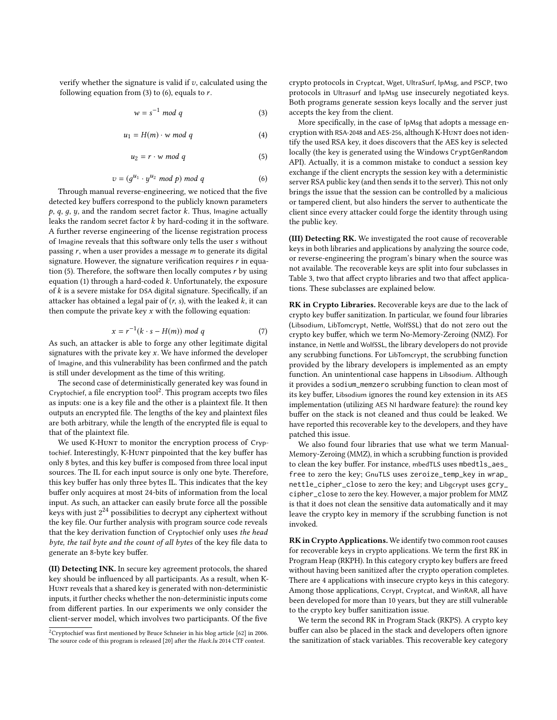verify whether the signature is valid if  $v$ , calculated using the following equation from  $(3)$  to  $(6)$ , equals to r.

$$
w = s^{-1} \mod q \tag{3}
$$

$$
u_1 = H(m) \cdot w \mod q \tag{4}
$$

$$
u_2 = r \cdot w \mod q \tag{5}
$$

$$
v = (g^{u_1} \cdot y^{u_2} \bmod p) \bmod q \tag{6}
$$

Through manual reverse-engineering, we noticed that the five detected key buffers correspond to the publicly known parameters  $p, q, q, y$ , and the random secret factor k. Thus, Imagine actually leaks the random secret factor  $k$  by hard-coding it in the software. A further reverse engineering of the license registration process of Imagine reveals that this software only tells the user s without passing  $r$ , when a user provides a message  $m$  to generate its digital signature. However, the signature verification requires  $r$  in equation (5). Therefore, the software then locally computes  $r$  by using equation (1) through a hard-coded  $k$ . Unfortunately, the exposure of  $k$  is a severe mistake for DSA digital signature. Specifically, if an attacker has obtained a legal pair of  $(r, s)$ , with the leaked  $k$ , it can then compute the private key  $x$  with the following equation:

$$
x = r^{-1}(k \cdot s - H(m)) \bmod q \tag{7}
$$

As such, an attacker is able to forge any other legitimate digital signatures with the private key  $x$ . We have informed the developer of Imagine, and this vulnerability has been confirmed and the patch is still under development as the time of this writing.

The second case of deterministically generated key was found in Cryptochief, a file encryption tool<sup>[2](#page-9-0)</sup>. This program accepts two files as inputs: one is a key file and the other is a plaintext file. It then outputs an encrypted file. The lengths of the key and plaintext files are both arbitrary, while the length of the encrypted file is equal to that of the plaintext file.

We used K-HUNT to monitor the encryption process of Cryptochief. Interestingly, K-HUNT pinpointed that the key buffer has only 8 bytes, and this key buffer is composed from three local input sources. The IL for each input source is only one byte. Therefore, this key buffer has only three bytes IL. This indicates that the key buffer only acquires at most 24-bits of information from the local input. As such, an attacker can easily brute force all the possible keys with just  $2^{24}$  possibilities to decrypt any ciphertext without the key file. Our further analysis with program source code reveals that the key derivation function of Cryptochief only uses the head byte, the tail byte and the count of all bytes of the key file data to generate an 8-byte key buffer.

(II) Detecting INK. In secure key agreement protocols, the shared key should be influenced by all participants. As a result, when K-HUNT reveals that a shared key is generated with non-deterministic inputs, it further checks whether the non-deterministic inputs come from different parties. In our experiments we only consider the client-server model, which involves two participants. Of the five

crypto protocols in Cryptcat, Wget, UltraSurf, IpMsg, and PSCP, two protocols in Ultrasurf and IpMsg use insecurely negotiated keys. Both programs generate session keys locally and the server just accepts the key from the client.

More specifically, in the case of IpMsg that adopts a message encryption with RSA-2048 and AES-256, although K-HUNT does not identify the used RSA key, it does discovers that the AES key is selected locally (the key is generated using the Windows CryptGenRandom API). Actually, it is a common mistake to conduct a session key exchange if the client encrypts the session key with a deterministic server RSA public key (and then sends it to the server). This not only brings the issue that the session can be controlled by a malicious or tampered client, but also hinders the server to authenticate the client since every attacker could forge the identity through using the public key.

(III) Detecting RK. We investigated the root cause of recoverable keys in both libraries and applications by analyzing the source code, or reverse-engineering the program's binary when the source was not available. The recoverable keys are split into four subclasses in [Table 3,](#page-8-1) two that affect crypto libraries and two that affect applications. These subclasses are explained below.

RK in Crypto Libraries. Recoverable keys are due to the lack of crypto key buffer sanitization. In particular, we found four libraries (Libsodium, LibTomcrypt, Nettle, WolfSSL) that do not zero out the crypto key buffer, which we term No-Memory-Zeroing (NMZ). For instance, in Nettle and WolfSSL, the library developers do not provide any scrubbing functions. For LibTomcrypt, the scrubbing function provided by the library developers is implemented as an empty function. An unintentional case happens in Libsodium. Although it provides a sodium\_memzero scrubbing function to clean most of its key buffer, Libsodium ignores the round key extension in its AES implementation (utilizing AES NI hardware feature): the round key buffer on the stack is not cleaned and thus could be leaked. We have reported this recoverable key to the developers, and they have patched this issue.

We also found four libraries that use what we term Manual-Memory-Zeroing (MMZ), in which a scrubbing function is provided to clean the key buffer. For instance, mbedTLS uses mbedtls\_aes\_ free to zero the key; GnuTLS uses zeroize\_temp\_key in wrap\_ nettle\_cipher\_close to zero the key; and Libgcrypt uses gcry\_ cipher\_close to zero the key. However, a major problem for MMZ is that it does not clean the sensitive data automatically and it may leave the crypto key in memory if the scrubbing function is not invoked.

RK in Crypto Applications. We identify two common root causes for recoverable keys in crypto applications. We term the first RK in Program Heap (RKPH). In this category crypto key buffers are freed without having been sanitized after the crypto operation completes. There are 4 applications with insecure crypto keys in this category. Among those applications, Ccrypt, Cryptcat, and WinRAR, all have been developed for more than 10 years, but they are still vulnerable to the crypto key buffer sanitization issue.

We term the second RK in Program Stack (RKPS). A crypto key buffer can also be placed in the stack and developers often ignore the sanitization of stack variables. This recoverable key category

<span id="page-9-0"></span><sup>2</sup>Cryptochief was first mentioned by Bruce Schneier in his blog article [\[62\]](#page-13-11) in 2006. The source code of this program is released [\[20\]](#page-12-27) after the Hack.lu 2014 CTF contest.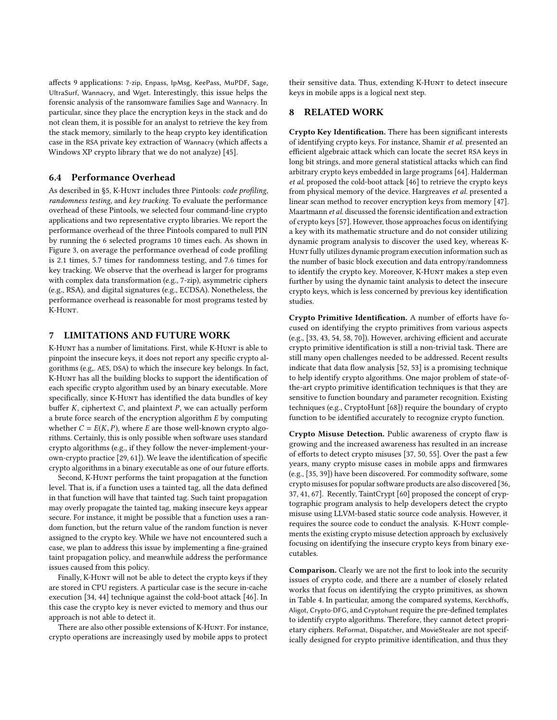affects 9 applications: 7-zip, Enpass, IpMsg, KeePass, MuPDF, Sage, UltraSurf, Wannacry, and Wget. Interestingly, this issue helps the forensic analysis of the ransomware families Sage and Wannacry. In particular, since they place the encryption keys in the stack and do not clean them, it is possible for an analyst to retrieve the key from the stack memory, similarly to the heap crypto key identification case in the RSA private key extraction of Wannacry (which affects a Windows XP crypto library that we do not analyze) [\[45\]](#page-12-41).

### 6.4 Performance Overhead

As described in [§5,](#page-5-0) K-HUNT includes three Pintools: code profiling, randomness testing, and key tracking. To evaluate the performance overhead of these Pintools, we selected four command-line crypto applications and two representative crypto libraries. We report the performance overhead of the three Pintools compared to null PIN by running the 6 selected programs 10 times each. As shown in [Figure 3,](#page-11-0) on average the performance overhead of code profiling is 2.1 times, 5.7 times for randomness testing, and 7.6 times for key tracking. We observe that the overhead is larger for programs with complex data transformation (e.g., 7-zip), asymmetric ciphers (e.g., RSA), and digital signatures (e.g., ECDSA). Nonetheless, the performance overhead is reasonable for most programs tested by K-Hunt.

# <span id="page-10-0"></span>7 LIMITATIONS AND FUTURE WORK

K-Hunt has a number of limitations. First, while K-Hunt is able to pinpoint the insecure keys, it does not report any specific crypto algorithms (e.g,. AES, DSA) to which the insecure key belongs. In fact, K-HUNT has all the building blocks to support the identification of each specific crypto algorithm used by an binary executable. More specifically, since K-HUNT has identified the data bundles of key buffer K, ciphertext C, and plaintext  $P$ , we can actually perform a brute force search of the encryption algorithm E by computing whether  $C = E(K, P)$ , where E are those well-known crypto algorithms. Certainly, this is only possible when software uses standard crypto algorithms (e.g., if they follow the never-implement-yourown-crypto practice [\[29,](#page-12-42) [61\]](#page-13-12)). We leave the identification of specific crypto algorithms in a binary executable as one of our future efforts.

Second, K-HUNT performs the taint propagation at the function level. That is, if a function uses a tainted tag, all the data defined in that function will have that tainted tag. Such taint propagation may overly propagate the tainted tag, making insecure keys appear secure. For instance, it might be possible that a function uses a random function, but the return value of the random function is never assigned to the crypto key. While we have not encountered such a case, we plan to address this issue by implementing a fine-grained taint propagation policy, and meanwhile address the performance issues caused from this policy.

Finally, K-Hunt will not be able to detect the crypto keys if they are stored in CPU registers. A particular case is the secure in-cache execution [\[34,](#page-12-43) [44\]](#page-12-44) technique against the cold-boot attack [\[46\]](#page-12-8). In this case the crypto key is never evicted to memory and thus our approach is not able to detect it.

There are also other possible extensions of K-HUNT. For instance, crypto operations are increasingly used by mobile apps to protect

their sensitive data. Thus, extending K-HUNT to detect insecure keys in mobile apps is a logical next step.

## 8 RELATED WORK

Crypto Key Identification. There has been significant interests of identifying crypto keys. For instance, Shamir et al. presented an efficient algebraic attack which can locate the secret RSA keys in long bit strings, and more general statistical attacks which can find arbitrary crypto keys embedded in large programs [\[64\]](#page-13-10). Halderman et al. proposed the cold-boot attack [\[46\]](#page-12-8) to retrieve the crypto keys from physical memory of the device. Hargreaves et al. presented a linear scan method to recover encryption keys from memory [\[47\]](#page-12-45). Maartmann et al. discussed the forensic identification and extraction of crypto keys [\[57\]](#page-13-9). However, those approaches focus on identifying a key with its mathematic structure and do not consider utilizing dynamic program analysis to discover the used key, whereas K-Hunt fully utilizes dynamic program execution information such as the number of basic block execution and data entropy/randomness to identify the crypto key. Moreover, K-HUNT makes a step even further by using the dynamic taint analysis to detect the insecure crypto keys, which is less concerned by previous key identification studies.

Crypto Primitive Identification. A number of efforts have focused on identifying the crypto primitives from various aspects (e.g., [\[33,](#page-12-46) [43,](#page-12-5) [54,](#page-12-47) [58,](#page-13-13) [70\]](#page-13-14)). However, archiving efficient and accurate crypto primitive identification is still a non-trivial task. There are still many open challenges needed to be addressed. Recent results indicate that data flow analysis [\[52,](#page-12-48) [53\]](#page-12-49) is a promising technique to help identify crypto algorithms. One major problem of state-ofthe-art crypto primitive identification techniques is that they are sensitive to function boundary and parameter recognition. Existing techniques (e.g., CryptoHunt [\[68\]](#page-13-3)) require the boundary of crypto function to be identified accurately to recognize crypto function.

Crypto Misuse Detection. Public awareness of crypto flaw is growing and the increased awareness has resulted in an increase of efforts to detect crypto misuses [\[37,](#page-12-2) [50,](#page-12-50) [55\]](#page-13-15). Over the past a few years, many crypto misuse cases in mobile apps and firmwares (e.g., [\[35,](#page-12-51) [39\]](#page-12-3)) have been discovered. For commodity software, some crypto misuses for popular software products are also discovered [\[36,](#page-12-52) [37,](#page-12-2) [41,](#page-12-0) [67\]](#page-13-1). Recently, TaintCrypt [\[60\]](#page-13-16) proposed the concept of cryptographic program analysis to help developers detect the crypto misuse using LLVM-based static source code analysis. However, it requires the source code to conduct the analysis. K-HUNT complements the existing crypto misuse detection approach by exclusively focusing on identifying the insecure crypto keys from binary executables.

Comparison. Clearly we are not the first to look into the security issues of crypto code, and there are a number of closely related works that focus on identifying the crypto primitives, as shown in [Table 4.](#page-11-1) In particular, among the compared systems, Kerckhoffs, Aligot, Crypto-DFG, and Cryptohunt require the pre-defined templates to identify crypto algorithms. Therefore, they cannot detect proprietary ciphers. ReFormat, Dispatcher, and MovieStealer are not specifically designed for crypto primitive identification, and thus they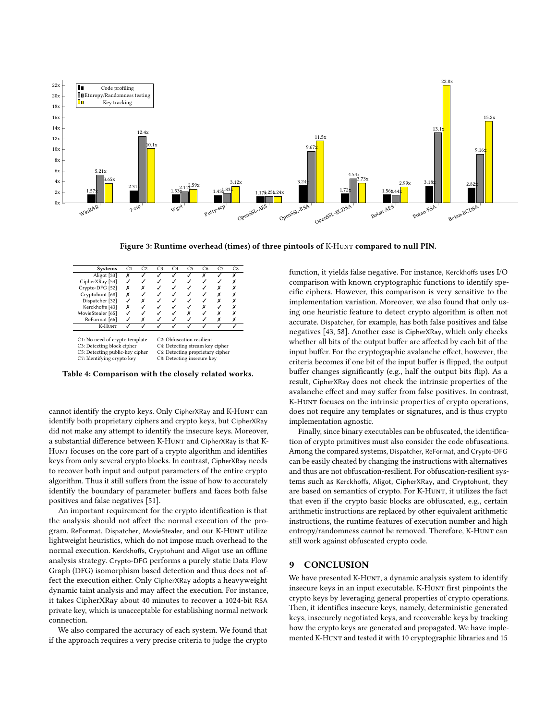<span id="page-11-0"></span>

Figure 3: Runtime overhead (times) of three pintools of K-HUNT compared to null PIN.

<span id="page-11-1"></span>

| <b>Systems</b>                                                                                                                | C <sub>1</sub> | C2 | C <sub>3</sub>                                                                                                                              | C4 | C5 | C6 | C7 | C8 |  |
|-------------------------------------------------------------------------------------------------------------------------------|----------------|----|---------------------------------------------------------------------------------------------------------------------------------------------|----|----|----|----|----|--|
| Aligot [33]                                                                                                                   | x              |    |                                                                                                                                             |    |    |    |    | X  |  |
| CipherXRay [54]                                                                                                               |                |    |                                                                                                                                             |    |    |    |    | х  |  |
| Crypto-DFG [52]                                                                                                               | X              | X  |                                                                                                                                             |    |    |    |    |    |  |
| Cryptohunt [68]                                                                                                               | X              |    |                                                                                                                                             |    |    |    | x  |    |  |
| Dispatcher [32]                                                                                                               |                | x  |                                                                                                                                             |    |    |    |    |    |  |
| Kerckhoffs [43]                                                                                                               | х              |    |                                                                                                                                             |    |    |    |    |    |  |
| MovieStealer [65]                                                                                                             |                |    |                                                                                                                                             |    | X  |    |    |    |  |
| ReFormat [66]                                                                                                                 |                | x  |                                                                                                                                             |    |    |    | х  |    |  |
| K-HUNT                                                                                                                        |                |    |                                                                                                                                             |    |    |    |    |    |  |
| C1: No need of crypto template<br>C3: Detecting block cipher<br>C5: Detecting public-key cipher<br>C7: Identifying crypto key |                |    | C <sub>2</sub> : Obfuscation resilient<br>C4: Detecting stream key cipher<br>C6: Detecting proprietary cipher<br>C8: Detecting insecure key |    |    |    |    |    |  |

Table 4: Comparison with the closely related works.

cannot identify the crypto keys. Only CipherXRay and K-HUNT can identify both proprietary ciphers and crypto keys, but CipherXRay did not make any attempt to identify the insecure keys. Moreover, a substantial difference between K-HUNT and CipherXRay is that K-Hunt focuses on the core part of a crypto algorithm and identifies keys from only several crypto blocks. In contrast, CipherXRay needs to recover both input and output parameters of the entire crypto algorithm. Thus it still suffers from the issue of how to accurately identify the boundary of parameter buffers and faces both false positives and false negatives [\[51\]](#page-12-53).

An important requirement for the crypto identification is that the analysis should not affect the normal execution of the program. ReFormat, Dispatcher, MovieStealer, and our K-HUNT utilize lightweight heuristics, which do not impose much overhead to the normal execution. Kerckhoffs, Cryptohunt and Aligot use an offline analysis strategy. Crypto-DFG performs a purely static Data Flow Graph (DFG) isomorphism based detection and thus does not affect the execution either. Only CipherXRay adopts a heavyweight dynamic taint analysis and may affect the execution. For instance, it takes CipherXRay about 40 minutes to recover a 1024-bit RSA private key, which is unacceptable for establishing normal network connection.

We also compared the accuracy of each system. We found that if the approach requires a very precise criteria to judge the crypto function, it yields false negative. For instance, Kerckhoffs uses I/O comparison with known cryptographic functions to identify specific ciphers. However, this comparison is very sensitive to the implementation variation. Moreover, we also found that only using one heuristic feature to detect crypto algorithm is often not accurate. Dispatcher, for example, has both false positives and false negatives [\[43,](#page-12-5) [58\]](#page-13-13). Another case is CipherXRay, which only checks whether all bits of the output buffer are affected by each bit of the input buffer. For the cryptographic avalanche effect, however, the criteria becomes if one bit of the input buffer is flipped, the output buffer changes significantly (e.g., half the output bits flip). As a result, CipherXRay does not check the intrinsic properties of the avalanche effect and may suffer from false positives. In contrast, K-Hunt focuses on the intrinsic properties of crypto operations, does not require any templates or signatures, and is thus crypto implementation agnostic.

Finally, since binary executables can be obfuscated, the identification of crypto primitives must also consider the code obfuscations. Among the compared systems, Dispatcher, ReFormat, and Crypto-DFG can be easily cheated by changing the instructions with alternatives and thus are not obfuscation-resilient. For obfuscation-resilient systems such as Kerckhoffs, Aligot, CipherXRay, and Cryptohunt, they are based on semantics of crypto. For K-HUNT, it utilizes the fact that even if the crypto basic blocks are obfuscated, e.g., certain arithmetic instructions are replaced by other equivalent arithmetic instructions, the runtime features of execution number and high entropy/randomness cannot be removed. Therefore, K-HUNT can still work against obfuscated crypto code.

# 9 CONCLUSION

We have presented K-HUNT, a dynamic analysis system to identify insecure keys in an input executable. K-HUNT first pinpoints the crypto keys by leveraging general properties of crypto operations. Then, it identifies insecure keys, namely, deterministic generated keys, insecurely negotiated keys, and recoverable keys by tracking how the crypto keys are generated and propagated. We have implemented K-Hunt and tested it with 10 cryptographic libraries and 15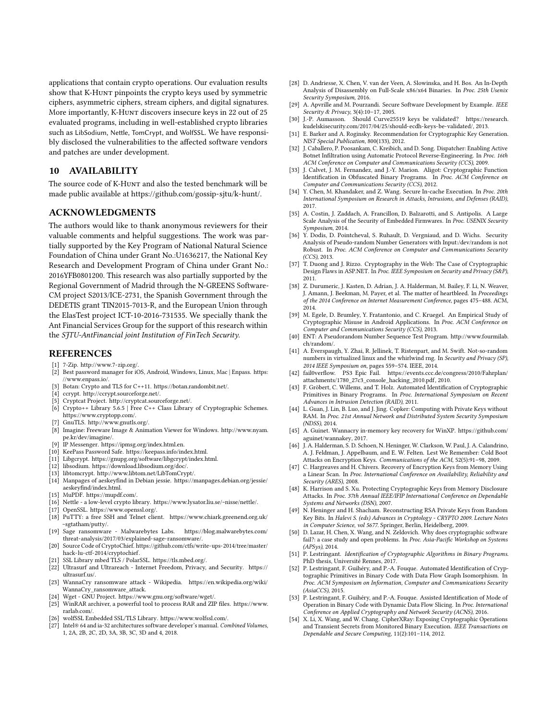applications that contain crypto operations. Our evaluation results show that K-HUNT pinpoints the crypto keys used by symmetric ciphers, asymmetric ciphers, stream ciphers, and digital signatures. More importantly, K-HUNT discovers insecure keys in 22 out of 25 evaluated programs, including in well-established crypto libraries such as LibSodium, Nettle, TomCrypt, and WolfSSL. We have responsibly disclosed the vulnerabilities to the affected software vendors and patches are under development.

#### 10 AVAILABILITY

The source code of K-HUNT and also the tested benchmark will be made public available at [https://github.com/gossip-sjtu/k-hunt/.](https://github.com/gossip-sjtu/k-hunt/)

## ACKNOWLEDGMENTS

The authors would like to thank anonymous reviewers for their valuable comments and helpful suggestions. The work was partially supported by the Key Program of National Natural Science Foundation of China under Grant No.:U1636217, the National Key Research and Development Program of China under Grant No.: 2016YFB0801200. This research was also partially supported by the Regional Government of Madrid through the N-GREENS Software-CM project S2013/ICE-2731, the Spanish Government through the DEDETIS grant TIN2015-7013-R, and the European Union through the ElasTest project ICT-10-2016-731535. We specially thank the Ant Financial Services Group for the support of this research within the SJTU-AntFinancial joint Institution of FinTech Security.

# REFERENCES

- <span id="page-12-24"></span>[1] 7-Zip. [http://www.7-zip.org/.](http://www.7-zip.org/)
- <span id="page-12-28"></span>[2] Best password manager for iOS, Android, Windows, Linux, Mac | Enpass. [https:](https://www.enpass.io/) [//www.enpass.io/.](https://www.enpass.io/)
- <span id="page-12-14"></span>[3] Botan: Crypto and TLS for C++11. [https://botan.randombit.net/.](https://botan.randombit.net/)
- <span id="page-12-26"></span><span id="page-12-25"></span>ccrypt. [http://ccrypt.sourceforge.net/.](http://ccrypt.sourceforge.net/) [5] Cryptcat Project. [http://cryptcat.sourceforge.net/.](http://cryptcat.sourceforge.net/)
- <span id="page-12-15"></span>[6] Crypto++ Library 5.6.5 | Free C++ Class Library of Cryptographic Schemes.
- [https://www.cryptopp.com/.](https://www.cryptopp.com/)
- <span id="page-12-20"></span>[7] GnuTLS. [http://www.gnutls.org/.](http://www.gnutls.org/)
- <span id="page-12-29"></span>[8] Imagine: Freeware Image & Animation Viewer for Windows. [http://www.nyam.](http://www.nyam.pe.kr/dev/imagine/) [pe.kr/dev/imagine/.](http://www.nyam.pe.kr/dev/imagine/)
- <span id="page-12-30"></span>[9] IP Messenger. [https://ipmsg.org/index.html.en.](https://ipmsg.org/index.html.en)
- <span id="page-12-31"></span><span id="page-12-16"></span>[10] KeePass Password Safe. [https://keepass.info/index.html.](https://keepass.info/index.html) [11] Libgcrypt. [https://gnupg.org/software/libgcrypt/index.html.](https://gnupg.org/software/libgcrypt/index.html)
- <span id="page-12-17"></span>
- <span id="page-12-18"></span>[12] libsodium. [https://download.libsodium.org/doc/.](https://download.libsodium.org/doc/) [13] libtomcrypt. [http://www.libtom.net/LibTomCrypt/.](http://www.libtom.net/LibTomCrypt/)
- <span id="page-12-39"></span>[14] Manpages of aeskeyfind in Debian jessie. [https://manpages.debian.org/jessie/](https://manpages.debian.org/jessie/aeskeyfind/index.html) [aeskeyfind/index.html.](https://manpages.debian.org/jessie/aeskeyfind/index.html)
- <span id="page-12-32"></span>[15] MuPDF. [https://mupdf.com/.](https://mupdf.com/)
- <span id="page-12-19"></span>[16] Nettle - a low-level crypto library. [https://www.lysator.liu.se/~nisse/nettle/.](https://www.lysator.liu.se/~nisse/nettle/)
- <span id="page-12-22"></span>[17] OpenSSL. [https://www.openssl.org/.](https://www.openssl.org/)
- <span id="page-12-33"></span>[18] PuTTY: a free SSH and Telnet client. [https://www.chiark.greenend.org.uk/](https://www.chiark.greenend.org.uk/~sgtatham/putty/) [~sgtatham/putty/.](https://www.chiark.greenend.org.uk/~sgtatham/putty/)
- <span id="page-12-34"></span>[19] Sage ransomware - Malwarebytes Labs. [https://blog.malwarebytes.com/](https://blog.malwarebytes.com/threat-analysis/2017/03/explained-sage-ransomware/) [threat-analysis/2017/03/explained-sage-ransomware/.](https://blog.malwarebytes.com/threat-analysis/2017/03/explained-sage-ransomware/)
- <span id="page-12-27"></span>[20] Source Code of CryptoChief. [https://github.com/ctfs/write-ups-2014/tree/master/](https://github.com/ctfs/write-ups-2014/tree/master/hack-lu-ctf-2014/cryptochief) [hack-lu-ctf-2014/cryptochief.](https://github.com/ctfs/write-ups-2014/tree/master/hack-lu-ctf-2014/cryptochief)
- <span id="page-12-21"></span>[21] SSL Library mbed TLS / PolarSSL. [https://tls.mbed.org/.](https://tls.mbed.org/)
- <span id="page-12-35"></span>[22] Ultrasurf and Ultrareach - Internet Freedom, Privacy, and Security. [https://](https://ultrasurf.us/) [ultrasurf.us/.](https://ultrasurf.us/)
- <span id="page-12-36"></span>[23] WannaCry ransomware attack - Wikipedia. [https://en.wikipedia.org/wiki/](https://en.wikipedia.org/wiki/WannaCry_ransomware_attack) [WannaCry\\_ransomware\\_attack.](https://en.wikipedia.org/wiki/WannaCry_ransomware_attack)
- <span id="page-12-37"></span>[24] Wget - GNU Project. [https://www.gnu.org/software/wget/.](https://www.gnu.org/software/wget/)
- <span id="page-12-38"></span>[25] WinRAR archiver, a powerful tool to process RAR and ZIP files. [https://www.](https://www.rarlab.com/) [rarlab.com/.](https://www.rarlab.com/)
- <span id="page-12-23"></span>[26] wolfSSL Embedded SSL/TLS Library. [https://www.wolfssl.com/.](https://www.wolfssl.com/)
- <span id="page-12-10"></span>[27] Intel® 64 and ia-32 architectures software developer's manual. Combined Volumes, 1, 2A, 2B, 2C, 2D, 3A, 3B, 3C, 3D and 4, 2018.
- <span id="page-12-13"></span>[28] D. Andriesse, X. Chen, V. van der Veen, A. Slowinska, and H. Bos. An In-Depth Analysis of Disassembly on Full-Scale x86/x64 Binaries. In Proc. 25th Usenix Security Symposium, 2016.
- <span id="page-12-42"></span>[29] A. Apvrille and M. Pourzandi. Secure Software Development by Example. IEEE Security & Privacy, 3(4):10–17, 2005.
- <span id="page-12-7"></span>[30] J.-P. Aumasson. Should Curve25519 keys be validated? [https://research.](https://research.kudelskisecurity.com/2017/04/25/should-ecdh-keys-be-validated/) [kudelskisecurity.com/2017/04/25/should-ecdh-keys-be-validated/,](https://research.kudelskisecurity.com/2017/04/25/should-ecdh-keys-be-validated/) 2013.
- <span id="page-12-6"></span>[31] E. Barker and A. Roginsky. Recommendation for Cryptographic Key Generation. NIST Special Publication, 800(133), 2012.
- <span id="page-12-4"></span>[32] J. Caballero, P. Poosankam, C. Kreibich, and D. Song. Dispatcher: Enabling Active Botnet Infiltration using Automatic Protocol Reverse-Engineering. In Proc. 16th ACM Conference on Computer and Communications Security (CCS), 2009.
- <span id="page-12-46"></span>[33] J. Calvet, J. M. Fernandez, and J.-Y. Marion. Aligot: Cryptographic Function Identification in Obfuscated Binary Programs. In Proc. ACM Conference on Computer and Communications Security (CCS), 2012.
- <span id="page-12-43"></span>[34] Y. Chen, M. Khandaker, and Z. Wang. Secure In-cache Execution. In Proc. 20th International Symposium on Research in Attacks, Intrusions, and Defenses (RAID), 2017.
- <span id="page-12-51"></span>[35] A. Costin, J. Zaddach, A. Francillon, D. Balzarotti, and S. Antipolis. A Large Scale Analysis of the Security of Embedded Firmwares. In Proc. USENIX Security Symposium, 2014.
- <span id="page-12-52"></span>[36] Y. Dodis, D. Pointcheval, S. Ruhault, D. Vergniaud, and D. Wichs. Security Analysis of Pseudo-random Number Generators with Input:/dev/random is not Robust. In Proc. ACM Conference on Computer and Communications Security (CCS), 2013.
- <span id="page-12-2"></span>[37] T. Duong and J. Rizzo. Cryptography in the Web: The Case of Cryptographic Design Flaws in ASP.NET. In Proc. IEEE Symposium on Security and Privacy (S&P), 2011.
- <span id="page-12-1"></span>[38] Z. Durumeric, J. Kasten, D. Adrian, J. A. Halderman, M. Bailey, F. Li, N. Weaver, J. Amann, J. Beekman, M. Payer, et al. The matter of heartbleed. In Proceedings of the 2014 Conference on Internet Measurement Conference, pages 475–488. ACM, 2014.
- <span id="page-12-3"></span>[39] M. Egele, D. Brumley, Y. Fratantonio, and C. Kruegel. An Empirical Study of Cryptographic Misuse in Android Applications. In Proc. ACM Conference on Computer and Communications Security (CCS), 2013.
- <span id="page-12-11"></span>[40] ENT: A Pseudorandom Number Sequence Test Program. [http://www.fourmilab.](http://www.fourmilab.ch/random/) [ch/random/.](http://www.fourmilab.ch/random/)
- <span id="page-12-0"></span>[41] A. Everspaugh, Y. Zhai, R. Jellinek, T. Ristenpart, and M. Swift. Not-so-random numbers in virtualized linux and the whirlwind rng. In Security and Privacy (SP), 2014 IEEE Symposium on, pages 559–574. IEEE, 2014.
- <span id="page-12-40"></span>[42] fail0verflow. PS3 Epic Fail. [https://events.ccc.de/congress/2010/Fahrplan/](https://events.ccc.de/congress/2010/Fahrplan/attachments/1780_27c3_console_hacking_2010.pdf) [attachments/1780\\_27c3\\_console\\_hacking\\_2010.pdf,](https://events.ccc.de/congress/2010/Fahrplan/attachments/1780_27c3_console_hacking_2010.pdf) 2010.
- <span id="page-12-5"></span>[43] F. Gröbert, C. Willems, and T. Holz. Automated Identification of Cryptographic Primitives in Binary Programs. In Proc. International Symposium on Recent Advances in Intrusion Detection (RAID), 2011.
- <span id="page-12-44"></span>[44] L. Guan, J. Lin, B. Luo, and J. Jing. Copker: Computing with Private Keys without RAM. In Proc. 21st Annual Network and Distributed System Security Symposium (NDSS), 2014.
- <span id="page-12-41"></span>[45] A. Guinet. Wannacry in-memory key recovery for WinXP. [https://github.com/](https://github.com/aguinet/wannakey) [aguinet/wannakey,](https://github.com/aguinet/wannakey) 2017.
- <span id="page-12-8"></span>[46] J. A. Halderman, S. D. Schoen, N. Heninger, W. Clarkson, W. Paul, J. A. Calandrino, A. J. Feldman, J. Appelbaum, and E. W. Felten. Lest We Remember: Cold Boot Attacks on Encryption Keys. Communications of the ACM, 52(5):91–98, 2009.
- <span id="page-12-45"></span>[47] C. Hargreaves and H. Chivers. Recovery of Encryption Keys from Memory Using a Linear Scan. In Proc. International Conference on Availability, Reliability and Security (ARES), 2008.
- <span id="page-12-9"></span>[48] K. Harrison and S. Xu. Protecting Cryptographic Keys from Memory Disclosure Attacks. In Proc. 37th Annual IEEE/IFIP International Conference on Dependable Systems and Networks (DSN), 2007.
- <span id="page-12-12"></span>[49] N. Heninger and H. Shacham. Reconstructing RSA Private Keys from Random Key Bits. In Halevi S. (eds) Advances in Cryptology - CRYPTO 2009. Lecture Notes in Computer Science, vol 5677. Springer, Berlin, Heidelberg, 2009.
- <span id="page-12-50"></span>[50] D. Lazar, H. Chen, X. Wang, and N. Zeldovich. Why does cryptographic software fail?: a case study and open problems. In Proc. Asia-Pacific Workshop on Systems (APSys), 2014.
- <span id="page-12-53"></span>[51] P. Lestringant. Identification of Cryptographic Algorithms in Binary Programs. PhD thesis, Université Rennes, 2017.
- <span id="page-12-48"></span>[52] P. Lestringant, F. Guihéry, and P.-A. Fouque. Automated Identification of Cryptographic Primitives in Binary Code with Data Flow Graph Isomorphism. In Proc. ACM Symposium on Information, Computer and Communications Security (AsiaCCS), 2015.
- <span id="page-12-49"></span>[53] P. Lestringant, F. Guihéry, and P.-A. Fouque. Assisted Identification of Mode of Operation in Binary Code with Dynamic Data Flow Slicing. In Proc. International Conference on Applied Cryptography and Network Security (ACNS), 2016.
- <span id="page-12-47"></span>[54] X. Li, X. Wang, and W. Chang. CipherXRay: Exposing Cryptographic Operations and Transient Secrets from Monitored Binary Execution. IEEE Transactions on Dependable and Secure Computing, 11(2):101–114, 2012.